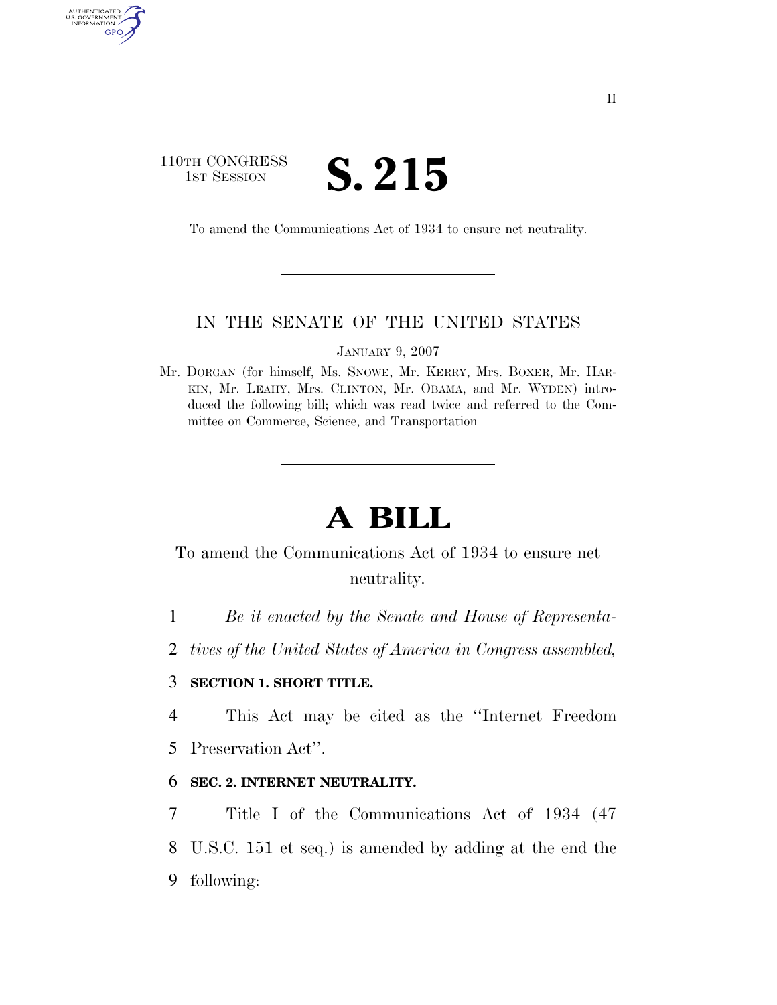## 110TH CONGRESS TH CONGRESS **S. 215**

AUTHENTICATED<br>U.S. GOVERNMENT<br>INFORMATION

GPO

To amend the Communications Act of 1934 to ensure net neutrality.

## IN THE SENATE OF THE UNITED STATES

JANUARY 9, 2007

Mr. DORGAN (for himself, Ms. SNOWE, Mr. KERRY, Mrs. BOXER, Mr. HAR-KIN, Mr. LEAHY, Mrs. CLINTON, Mr. OBAMA, and Mr. WYDEN) introduced the following bill; which was read twice and referred to the Committee on Commerce, Science, and Transportation

# **A BILL**

# To amend the Communications Act of 1934 to ensure net neutrality.

1 *Be it enacted by the Senate and House of Representa-*

2 *tives of the United States of America in Congress assembled,* 

#### 3 **SECTION 1. SHORT TITLE.**

4 This Act may be cited as the ''Internet Freedom 5 Preservation Act''.

## 6 **SEC. 2. INTERNET NEUTRALITY.**

7 Title I of the Communications Act of 1934 (47 8 U.S.C. 151 et seq.) is amended by adding at the end the 9 following: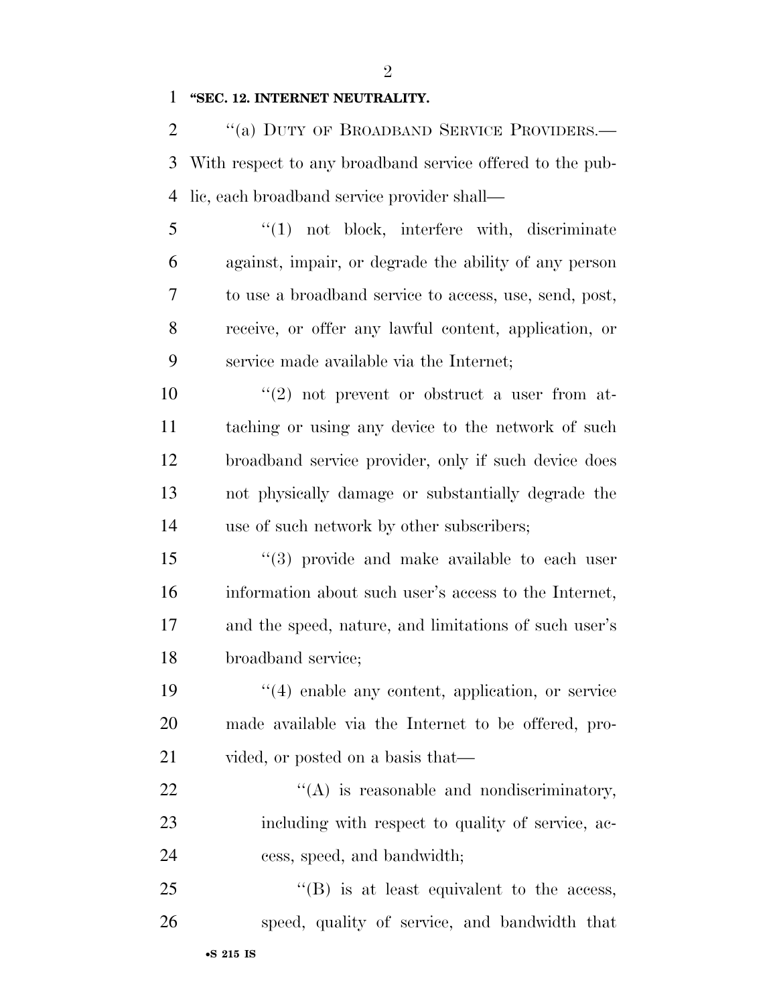#### **''SEC. 12. INTERNET NEUTRALITY.**

2 "(a) DUTY OF BROADBAND SERVICE PROVIDERS.— With respect to any broadband service offered to the pub-lic, each broadband service provider shall—

 ''(1) not block, interfere with, discriminate against, impair, or degrade the ability of any person to use a broadband service to access, use, send, post, receive, or offer any lawful content, application, or service made available via the Internet;

 $\frac{10}{2}$  ''(2) not prevent or obstruct a user from at- taching or using any device to the network of such broadband service provider, only if such device does not physically damage or substantially degrade the use of such network by other subscribers;

15 "(3) provide and make available to each user information about such user's access to the Internet, and the speed, nature, and limitations of such user's broadband service;

19  $\frac{1}{2}$  (4) enable any content, application, or service made available via the Internet to be offered, pro-21 vided, or posted on a basis that—

22  $\langle (A)$  is reasonable and nondiscriminatory, including with respect to quality of service, ac-cess, speed, and bandwidth;

25 "'(B) is at least equivalent to the access, speed, quality of service, and bandwidth that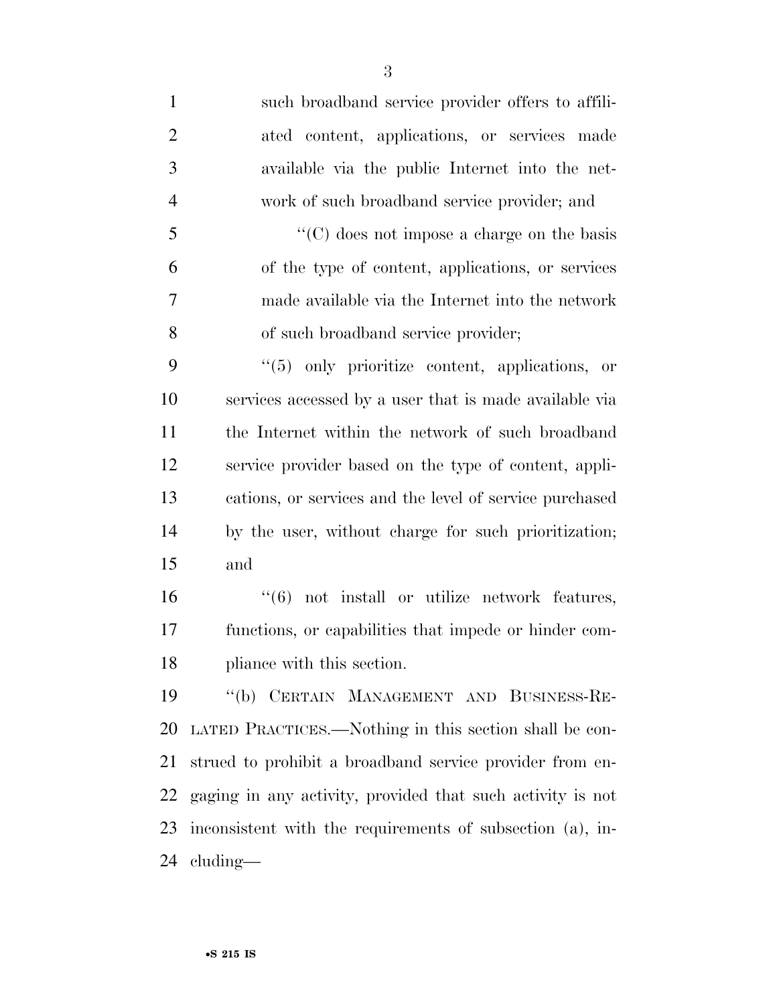such broadband service provider offers to affili- ated content, applications, or services made available via the public Internet into the net- work of such broadband service provider; and ''(C) does not impose a charge on the basis of the type of content, applications, or services made available via the Internet into the network of such broadband service provider; ''(5) only prioritize content, applications, or services accessed by a user that is made available via the Internet within the network of such broadband service provider based on the type of content, appli- cations, or services and the level of service purchased by the user, without charge for such prioritization; and ''(6) not install or utilize network features, functions, or capabilities that impede or hinder com- pliance with this section. ''(b) CERTAIN MANAGEMENT AND BUSINESS-RE- LATED PRACTICES.—Nothing in this section shall be con- strued to prohibit a broadband service provider from en- gaging in any activity, provided that such activity is not inconsistent with the requirements of subsection (a), in-

cluding—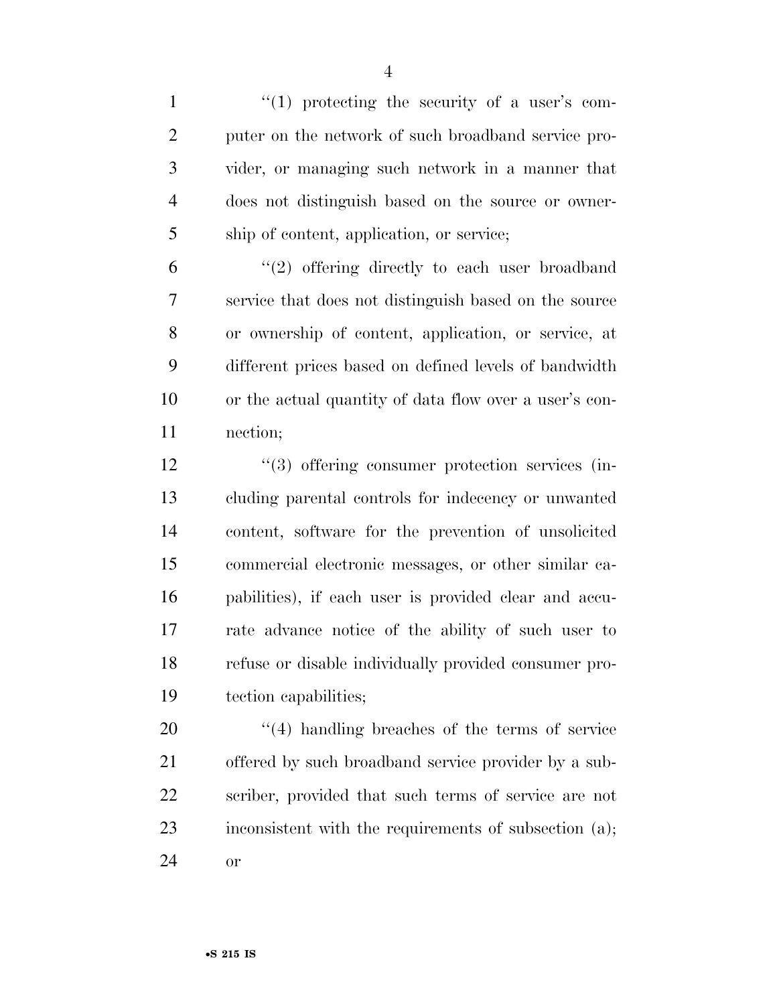$\frac{1}{1}$   $\frac{1}{2}$  if the security of a user's com- puter on the network of such broadband service pro- vider, or managing such network in a manner that does not distinguish based on the source or owner-ship of content, application, or service;

 $(2)$  offering directly to each user broadband service that does not distinguish based on the source or ownership of content, application, or service, at different prices based on defined levels of bandwidth or the actual quantity of data flow over a user's con-nection;

 $\frac{12}{2}$   $\frac{12}{2}$  offering consumer protection services (in- cluding parental controls for indecency or unwanted content, software for the prevention of unsolicited commercial electronic messages, or other similar ca- pabilities), if each user is provided clear and accu- rate advance notice of the ability of such user to refuse or disable individually provided consumer pro-tection capabilities;

20  $\frac{1}{2}$  (4) handling breaches of the terms of service offered by such broadband service provider by a sub- scriber, provided that such terms of service are not 23 inconsistent with the requirements of subsection (a); or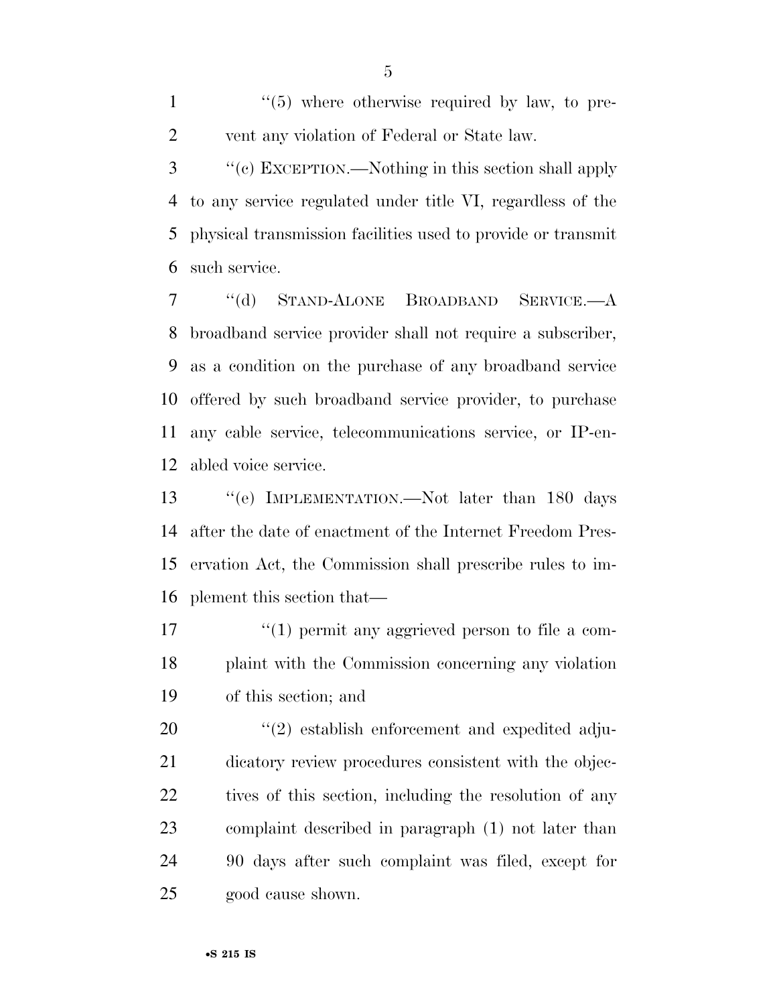$\frac{1}{1}$  ''(5) where otherwise required by law, to pre-vent any violation of Federal or State law.

 ''(c) EXCEPTION.—Nothing in this section shall apply to any service regulated under title VI, regardless of the physical transmission facilities used to provide or transmit such service.

 ''(d) STAND-ALONE BROADBAND SERVICE.—A broadband service provider shall not require a subscriber, as a condition on the purchase of any broadband service offered by such broadband service provider, to purchase any cable service, telecommunications service, or IP-en-abled voice service.

 ''(e) IMPLEMENTATION.—Not later than 180 days after the date of enactment of the Internet Freedom Pres- ervation Act, the Commission shall prescribe rules to im-plement this section that—

17  $\frac{1}{2}$  (1) permit any aggrieved person to file a com- plaint with the Commission concerning any violation of this section; and

 $(2)$  establish enforcement and expedited adju- dicatory review procedures consistent with the objec-22 tives of this section, including the resolution of any complaint described in paragraph (1) not later than 90 days after such complaint was filed, except for good cause shown.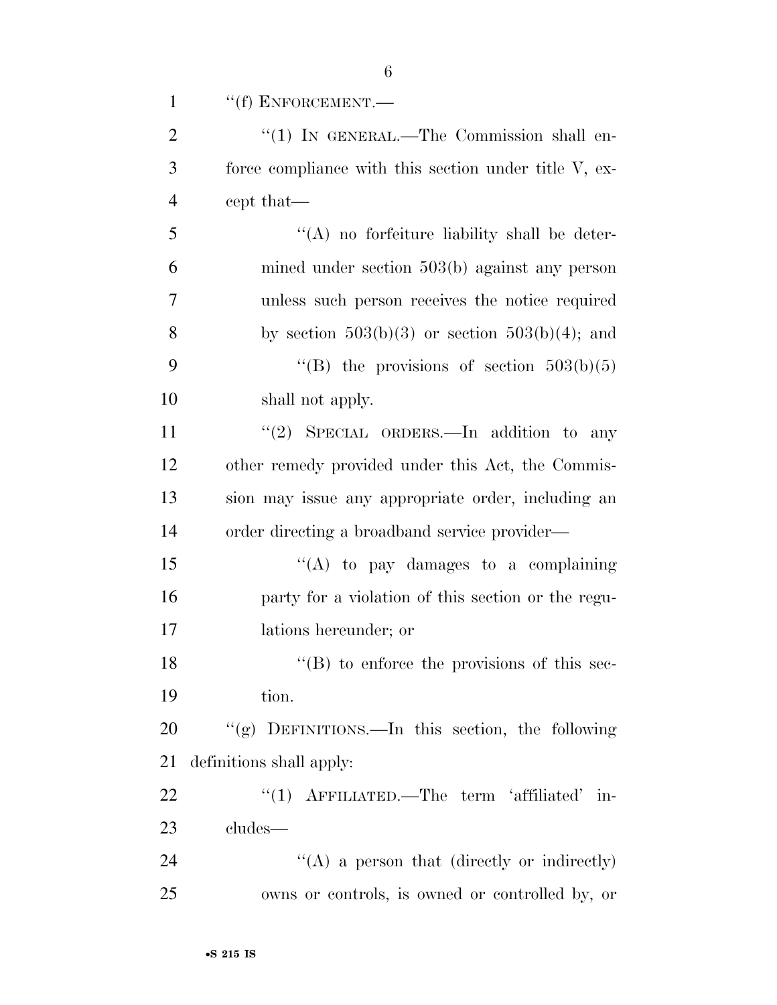| $\mathbf{1}$   | $``(f)$ ENFORCEMENT.—                                 |
|----------------|-------------------------------------------------------|
| $\overline{2}$ | " $(1)$ IN GENERAL.—The Commission shall en-          |
| 3              | force compliance with this section under title V, ex- |
| $\overline{4}$ | cept that—                                            |
| 5              | $\lq\lq$ no forfeiture liability shall be deter-      |
| 6              | mined under section $503(b)$ against any person       |
| $\overline{7}$ | unless such person receives the notice required       |
| 8              | by section $503(b)(3)$ or section $503(b)(4)$ ; and   |
| 9              | "(B) the provisions of section $503(b)(5)$            |
| 10             | shall not apply.                                      |
| 11             | "(2) SPECIAL ORDERS.—In addition to any               |
| 12             | other remedy provided under this Act, the Commis-     |
| 13             | sion may issue any appropriate order, including an    |
| 14             | order directing a broadband service provider—         |
| 15             | "(A) to pay damages to a complaining                  |
| 16             | party for a violation of this section or the regu-    |
| 17             | lations hereunder; or                                 |
| 18             | $\lq( B )$ to enforce the provisions of this sec-     |
| 19             | tion.                                                 |
| 20             | "(g) DEFINITIONS.—In this section, the following      |
| 21             | definitions shall apply:                              |
| 22             | "(1) $\Lambda$ FFILIATED.—The term 'affiliated' in-   |
| 23             | cludes—                                               |
| 24             | "(A) a person that (directly or indirectly)           |
| 25             | owns or controls, is owned or controlled by, or       |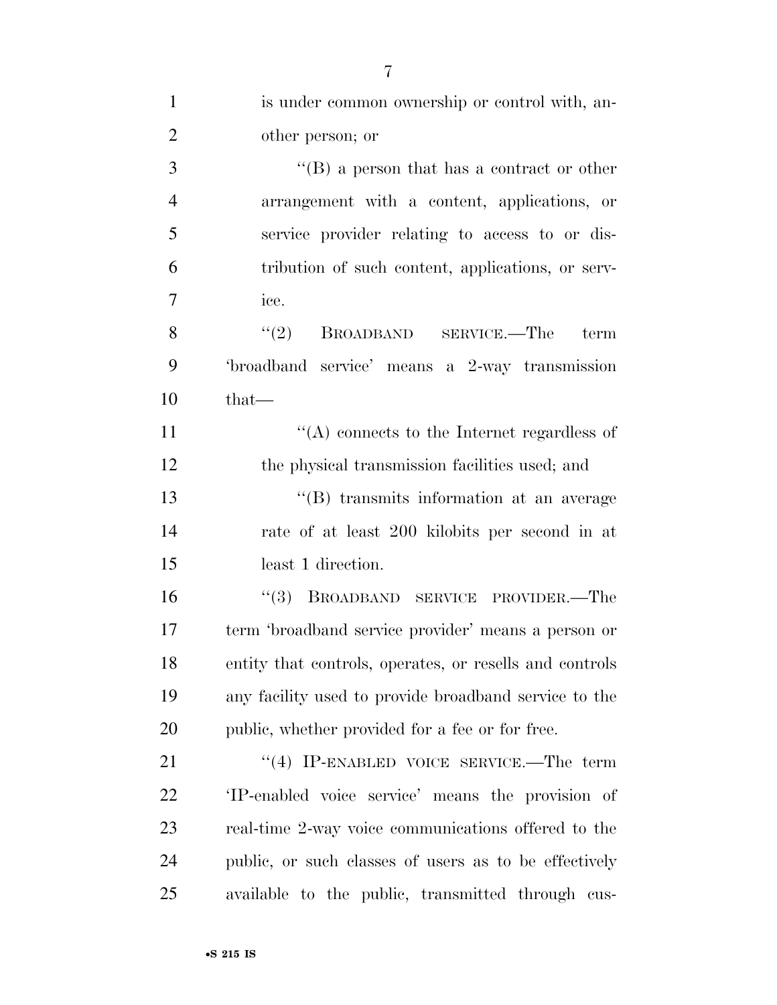| $\mathbf{1}$   | is under common ownership or control with, an-          |
|----------------|---------------------------------------------------------|
| $\overline{2}$ | other person; or                                        |
| 3              | "(B) a person that has a contract or other              |
| $\overline{4}$ | arrangement with a content, applications, or            |
| 5              | service provider relating to access to or dis-          |
| 6              | tribution of such content, applications, or serv-       |
| $\overline{7}$ | ice.                                                    |
| 8              | (2)<br>BROADBAND SERVICE.—The term                      |
| 9              | 'broadband service' means a 2-way transmission          |
| 10             | $that$ —                                                |
| 11             | $\lq\lq$ connects to the Internet regardless of         |
| 12             | the physical transmission facilities used; and          |
| 13             | "(B) transmits information at an average                |
| 14             | rate of at least 200 kilobits per second in at          |
| 15             | least 1 direction.                                      |
| 16             | "(3) BROADBAND SERVICE PROVIDER.—The                    |
| 17             | term 'broadband service provider' means a person or     |
| 18             | entity that controls, operates, or resells and controls |
| 19             | any facility used to provide broadband service to the   |
| 20             | public, whether provided for a fee or for free.         |
| 21             | "(4) IP-ENABLED VOICE SERVICE.—The term                 |
| 22             | 'IP-enabled voice service' means the provision of       |
| 23             | real-time 2-way voice communications offered to the     |
| 24             | public, or such classes of users as to be effectively   |
| 25             | available to the public, transmitted through cus-       |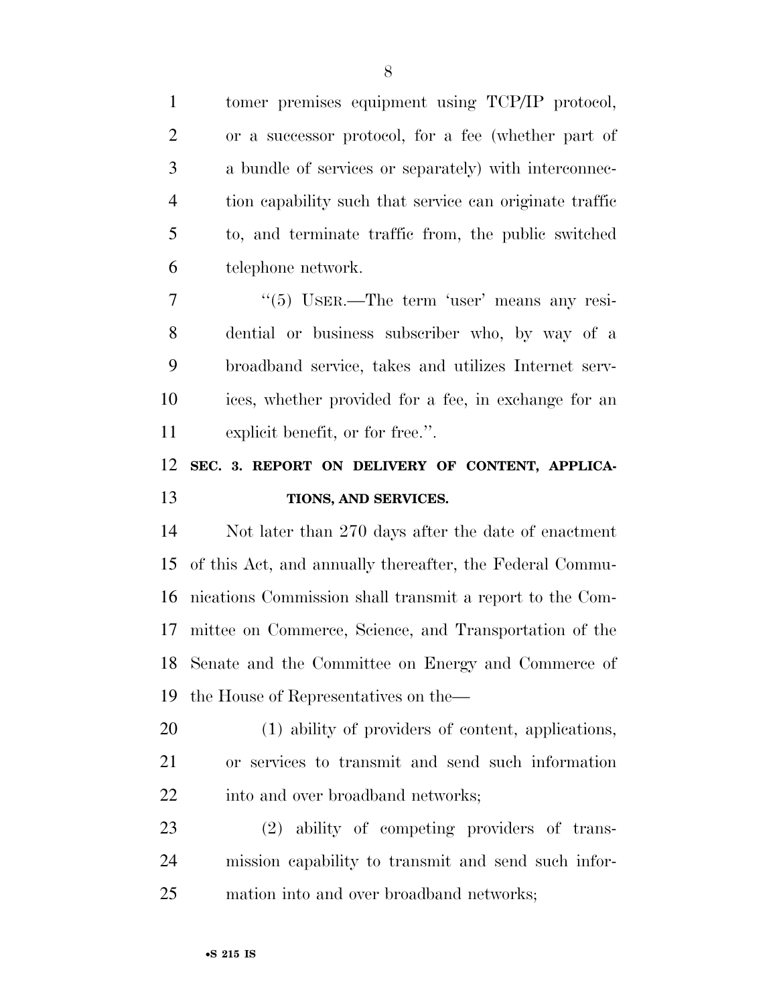| $\mathbf{1}$   | tomer premises equipment using TCP/IP protocol,          |
|----------------|----------------------------------------------------------|
| $\overline{2}$ | or a successor protocol, for a fee (whether part of      |
| 3              | a bundle of services or separately) with interconnec-    |
| $\overline{4}$ | tion capability such that service can originate traffic  |
| 5              | to, and terminate traffic from, the public switched      |
| 6              | telephone network.                                       |
| $\tau$         | $\cdot\cdot$ (5) USER.—The term 'user' means any resi-   |
| 8              | dential or business subscriber who, by way of a          |
| 9              | broadband service, takes and utilizes Internet serv-     |
| 10             | ices, whether provided for a fee, in exchange for an     |
| 11             | explicit benefit, or for free.".                         |
| 12             | SEC. 3. REPORT ON DELIVERY OF CONTENT, APPLICA-          |
|                |                                                          |
| 13             | TIONS, AND SERVICES.                                     |
| 14             | Not later than 270 days after the date of enactment      |
| 15             | of this Act, and annually thereafter, the Federal Commu- |
| 16             | nications Commission shall transmit a report to the Com- |
| 17             | mittee on Commerce, Science, and Transportation of the   |
|                | 18 Senate and the Committee on Energy and Commerce of    |
| 19             | the House of Representatives on the—                     |
| 20             | (1) ability of providers of content, applications,       |
| 21             | or services to transmit and send such information        |
| 22             | into and over broadband networks;                        |
| 23             | (2) ability of competing providers of trans-             |
| 24             | mission capability to transmit and send such infor-      |